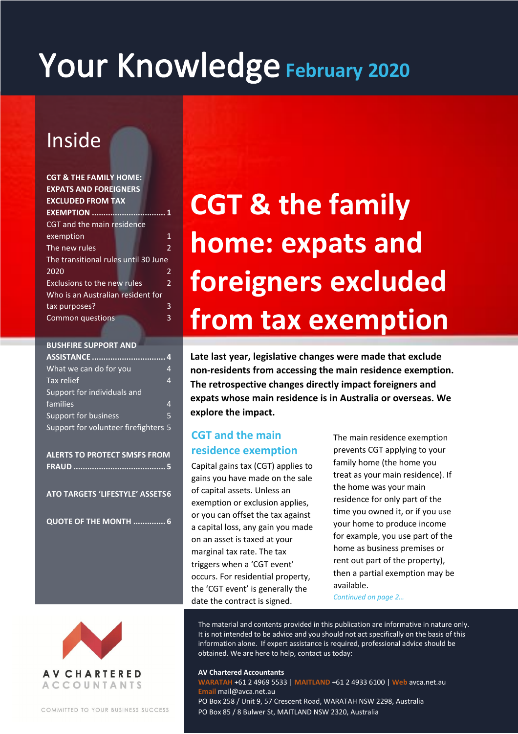# Your Knowledge February 2020

# Inside

| <b>CGT &amp; THE FAMILY HOME:</b>    |                          |
|--------------------------------------|--------------------------|
| <b>EXPATS AND FOREIGNERS</b>         |                          |
| <b>EXCLUDED FROM TAX</b>             |                          |
| <b>EXEMPTION</b>                     |                          |
| CGT and the main residence           |                          |
| exemption                            | 1                        |
| The new rules                        | $\overline{\mathcal{L}}$ |
| The transitional rules until 30 June |                          |
| 2020                                 | 2                        |
| Exclusions to the new rules          | 2                        |
| Who is an Australian resident for    |                          |
| tax purposes?                        | 3                        |
| <b>Common questions</b>              | 3                        |
|                                      |                          |

| <b>BUSHFIRE SUPPORT AND</b>          |   |
|--------------------------------------|---|
| ASSISTANCE                           | Δ |
| What we can do for you               | 4 |
| Tax relief                           | 4 |
| Support for individuals and          |   |
| families                             | 4 |
| Support for business                 | 5 |
| Support for volunteer firefighters 5 |   |

**ALERTS TO PROTECT SMSFS FROM FRAUD ........................................ 5**

**ATO TARGETS 'LIFESTYLE' ASSETS6**

**QUOTE OF THE MONTH .............. 6**

# **CGT & the family home: expats and foreigners excluded from tax exemption**

**Late last year, legislative changes were made that exclude non-residents from accessing the main residence exemption. The retrospective changes directly impact foreigners and expats whose main residence is in Australia or overseas. We explore the impact.**

# **CGT and the main residence exemption**

Capital gains tax (CGT) applies to gains you have made on the sale of capital assets. Unless an exemption or exclusion applies, or you can offset the tax against a capital loss, any gain you made on an asset is taxed at your marginal tax rate. The tax triggers when a 'CGT event' occurs. For residential property, the 'CGT event' is generally the date the contract is signed.

The main residence exemption prevents CGT applying to your family home (the home you treat as your main residence). If the home was your main residence for only part of the time you owned it, or if you use your home to produce income for example, you use part of the home as business premises or rent out part of the property), then a partial exemption may be available.

*Continued on page 2…*



COMMITTED TO YOUR BUSINESS SUCCESS

The material and contents provided in this publication are informative in nature only. It is not intended to be advice and you should not act specifically on the basis of this information alone. If expert assistance is required, professional advice should be obtained. We are here to help, contact us today:

#### **AV Chartered Accountants**

**WARATAH** +61 2 4969 5533 | **MAITLAND** +61 2 4933 6100 | **Web** avca.net.au **Email** mail@avca.net.au PO Box 258 / Unit 9, 57 Crescent Road, WARATAH NSW 2298, Australia PO Box 85 / 8 Bulwer St, MAITLAND NSW 2320, Australia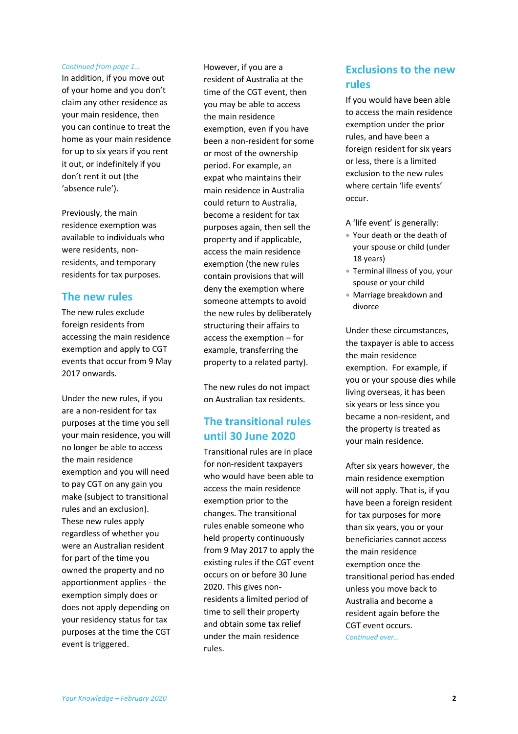#### *Continued from page 1…*

In addition, if you move out of your home and you don't claim any other residence as your main residence, then you can continue to treat the home as your main residence for up to six years if you rent it out, or indefinitely if you don't rent it out (the 'absence rule').

Previously, the main residence exemption was available to individuals who were residents, nonresidents, and temporary residents for tax purposes.

#### **The new rules**

The new rules exclude foreign residents from accessing the main residence exemption and apply to CGT events that occur from 9 May 2017 onwards.

Under the new rules, if you are a non-resident for tax purposes at the time you sell your main residence, you will no longer be able to access the main residence exemption and you will need to pay CGT on any gain you make (subject to transitional rules and an exclusion). These new rules apply regardless of whether you were an Australian resident for part of the time you owned the property and no apportionment applies - the exemption simply does or does not apply depending on your residency status for tax purposes at the time the CGT event is triggered.

However, if you are a resident of Australia at the time of the CGT event, then you may be able to access the main residence exemption, even if you have been a non-resident for some or most of the ownership period. For example, an expat who maintains their main residence in Australia could return to Australia, become a resident for tax purposes again, then sell the property and if applicable, access the main residence exemption (the new rules contain provisions that will deny the exemption where someone attempts to avoid the new rules by deliberately structuring their affairs to access the exemption – for example, transferring the property to a related party).

The new rules do not impact on Australian tax residents.

## **The transitional rules until 30 June 2020**

Transitional rules are in place for non-resident taxpayers who would have been able to access the main residence exemption prior to the changes. The transitional rules enable someone who held property continuously from 9 May 2017 to apply the existing rules if the CGT event occurs on or before 30 June 2020. This gives nonresidents a limited period of time to sell their property and obtain some tax relief under the main residence rules.

## **Exclusions to the new rules**

If you would have been able to access the main residence exemption under the prior rules, and have been a foreign resident for six years or less, there is a limited exclusion to the new rules where certain 'life events' occur.

- A 'life event' is generally:
- Your death or the death of your spouse or child (under 18 years)
- Terminal illness of you, your spouse or your child
- Marriage breakdown and divorce

Under these circumstances, the taxpayer is able to access the main residence exemption. For example, if you or your spouse dies while living overseas, it has been six years or less since you became a non-resident, and the property is treated as your main residence.

After six years however, the main residence exemption will not apply. That is, if you have been a foreign resident for tax purposes for more than six years, you or your beneficiaries cannot access the main residence exemption once the transitional period has ended unless you move back to Australia and become a resident again before the CGT event occurs. *Continued over…*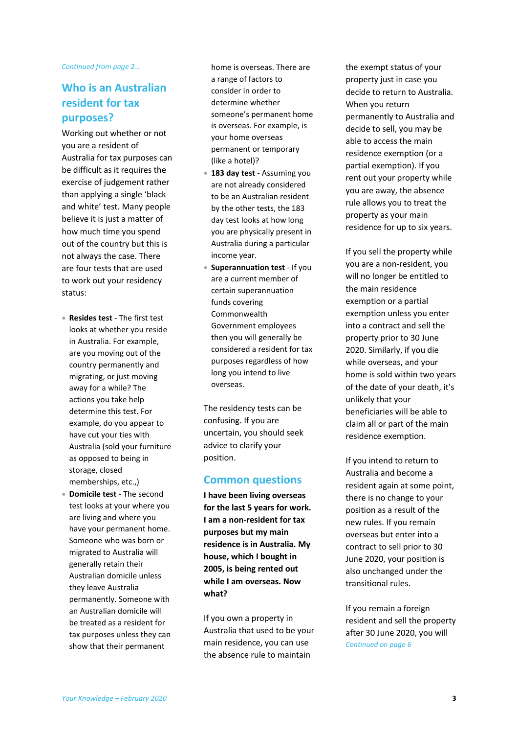#### *Continued from page 2…*

### **Who is an Australian resident for tax purposes?**

Working out whether or not you are a resident of Australia for tax purposes can be difficult as it requires the exercise of judgement rather than applying a single 'black and white' test. Many people believe it is just a matter of how much time you spend out of the country but this is not always the case. There are four tests that are used to work out your residency status:

- **Resides test** The first test looks at whether you reside in Australia. For example, are you moving out of the country permanently and migrating, or just moving away for a while? The actions you take help determine this test. For example, do you appear to have cut your ties with Australia (sold your furniture as opposed to being in storage, closed memberships, etc.,)
- **Domicile test** The second test looks at your where you are living and where you have your permanent home. Someone who was born or migrated to Australia will generally retain their Australian domicile unless they leave Australia permanently. Someone with an Australian domicile will be treated as a resident for tax purposes unless they can show that their permanent

home is overseas. There are a range of factors to consider in order to determine whether someone's permanent home is overseas. For example, is your home overseas permanent or temporary (like a hotel)?

- **183 day test** Assuming you are not already considered to be an Australian resident by the other tests, the 183 day test looks at how long you are physically present in Australia during a particular income year.
- **Superannuation test** If you are a current member of certain superannuation funds covering Commonwealth Government employees then you will generally be considered a resident for tax purposes regardless of how long you intend to live overseas.

The residency tests can be confusing. If you are uncertain, you should seek advice to clarify your position.

#### **Common questions**

**I have been living overseas for the last 5 years for work. I am a non-resident for tax purposes but my main residence is in Australia. My house, which I bought in 2005, is being rented out while I am overseas. Now what?**

If you own a property in Australia that used to be your main residence, you can use the absence rule to maintain

the exempt status of your property just in case you decide to return to Australia. When you return permanently to Australia and decide to sell, you may be able to access the main residence exemption (or a partial exemption). If you rent out your property while you are away, the absence rule allows you to treat the property as your main residence for up to six years.

If you sell the property while you are a non-resident, you will no longer be entitled to the main residence exemption or a partial exemption unless you enter into a contract and sell the property prior to 30 June 2020. Similarly, if you die while overseas, and your home is sold within two years of the date of your death, it's unlikely that your beneficiaries will be able to claim all or part of the main residence exemption.

If you intend to return to Australia and become a resident again at some point, there is no change to your position as a result of the new rules. If you remain overseas but enter into a contract to sell prior to 30 June 2020, your position is also unchanged under the transitional rules.

If you remain a foreign resident and sell the property after 30 June 2020, you will *Continued on page 6*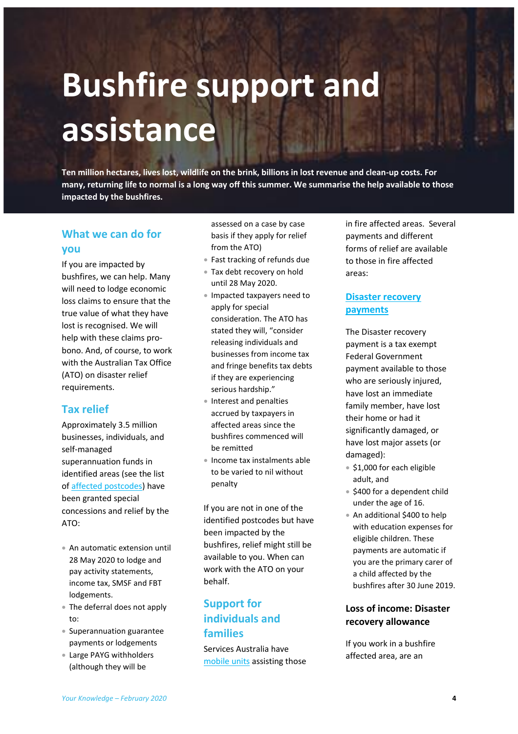# **Bushfire support and assistance**

**Ten million hectares, lives lost, wildlife on the brink, billions in lost revenue and clean-up costs. For many, returning life to normal is a long way off this summer. We summarise the help available to those impacted by the bushfires.**

## **What we can do for you**

If you are impacted by bushfires, we can help. Many will need to lodge economic loss claims to ensure that the true value of what they have lost is recognised. We will help with these claims probono. And, of course, to work with the Australian Tax Office (ATO) on disaster relief requirements.

### **Tax relief**

Approximately 3.5 million businesses, individuals, and self-managed superannuation funds in identified areas (see the list of [affected postcodes\)](https://www.ato.gov.au/Individuals/Dealing-with-disasters/In-detail/Specific-disasters/Bushfires-2019-20/?anchor=ImpactedpostcodesidentifiedinDecember#ImpactedpostcodesidentifiedinDecember) have been granted special concessions and relief by the ATO:

- An automatic extension until 28 May 2020 to lodge and pay activity statements, income tax, SMSF and FBT lodgements.
- The deferral does not apply to:
- Superannuation guarantee payments or lodgements
- Large PAYG withholders (although they will be

assessed on a case by case basis if they apply for relief from the ATO)

- Fast tracking of refunds due
- Tax debt recovery on hold until 28 May 2020.
- Impacted taxpayers need to apply for special consideration. The ATO has stated they will, "consider releasing individuals and businesses from income tax and fringe benefits tax debts if they are experiencing serious hardship."
- Interest and penalties accrued by taxpayers in affected areas since the bushfires commenced will be remitted
- **Income tax instalments able** to be varied to nil without penalty

If you are not in one of the identified postcodes but have been impacted by the bushfires, relief might still be available to you. When can work with the ATO on your behalf.

# **Support for individuals and families**

Services Australia have [mobile units](https://www.humanservices.gov.au/individuals/subjects/how-access-our-services) assisting those in fire affected areas. Several payments and different forms of relief are available to those in fire affected areas:

### **[Disaster recovery](https://www.humanservices.gov.au/individuals/help-emergency)  [payments](https://www.humanservices.gov.au/individuals/help-emergency)**

The Disaster recovery payment is a tax exempt Federal Government payment available to those who are seriously injured, have lost an immediate family member, have lost their home or had it significantly damaged, or have lost major assets (or damaged):

- **\$1,000 for each eligible** adult, and
- \$400 for a dependent child under the age of 16.
- An additional \$400 to help with education expenses for eligible children. These payments are automatic if you are the primary carer of a child affected by the bushfires after 30 June 2019.

#### **Loss of income: Disaster recovery allowance**

If you work in a bushfire affected area, are an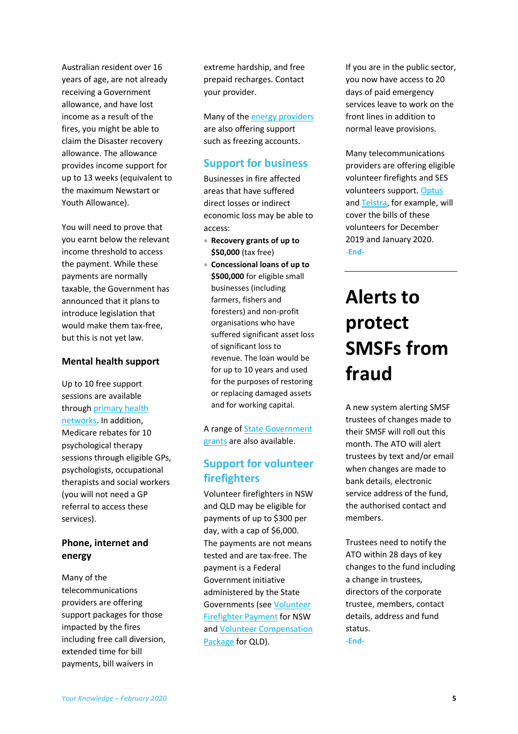Australian resident over 16 years of age, are not already receiving a Government allowance, and have lost income as a result of the fires, you might be able to claim the Disaster recovery allowance. The allowance provides income support for up to 13 weeks (equivalent to the maximum Newstart or Youth Allowance).

You will need to prove that you earnt below the relevant income threshold to access the payment. While these payments are normally taxable, the Government has announced that it plans to introduce legislation that would make them tax-free, but this is not yet law.

#### **Mental health support**

Up to 10 free support sessions are available throug[h primary health](https://www1.health.gov.au/internet/main/publishing.nsf/content/phn-home?Open=&utm_source=health.gov.au&utm_medium=redirect&utm_campaign=digital_transformation&utm_content=phn)  [networks.](https://www1.health.gov.au/internet/main/publishing.nsf/content/phn-home?Open=&utm_source=health.gov.au&utm_medium=redirect&utm_campaign=digital_transformation&utm_content=phn) In addition, Medicare rebates for 10 psychological therapy sessions through eligible GPs, psychologists, occupational therapists and social workers (you will not need a GP referral to access these services).

#### **Phone, internet and energy**

Many of the telecommunications providers are offering support packages for those impacted by the fires including free call diversion, extended time for bill payments, bill waivers in

extreme hardship, and free prepaid recharges. Contact your provider.

Many of the **energy providers** are also offering support such as freezing accounts.

#### **Support for business**

Businesses in fire affected areas that have suffered direct losses or indirect economic loss may be able to access:

- **Recovery grants of up to \$50,000** (tax free)
- **Concessional loans of up to \$500,000** for eligible small businesses (including farmers, fishers and foresters) and non-profit organisations who have suffered significant asset loss of significant loss to revenue. The loan would be for up to 10 years and used for the purposes of restoring or replacing damaged assets and for working capital.

A range o[f State Government](https://www.business.gov.au/SearchResult?query=bushfireassistance&type=1)  [grants](https://www.business.gov.au/SearchResult?query=bushfireassistance&type=1) are also available.

## **Support for volunteer firefighters**

Volunteer firefighters in NSW and QLD may be eligible for payments of up to \$300 per day, with a cap of \$6,000. The payments are not means tested and are tax-free. The payment is a Federal Government initiative administered by the State Governments (see Volunteer [Firefighter Payment](https://www.service.nsw.gov.au/transaction/apply-volunteer-firefighter-payment) for NSW an[d Volunteer Compensation](https://www.qld.gov.au/emergency/volunteering-jobs/volunteer/qfes-volunteer-compensation-package)  [Package](https://www.qld.gov.au/emergency/volunteering-jobs/volunteer/qfes-volunteer-compensation-package) for QLD).

If you are in the public sector, you now have access to 20 days of paid emergency services leave to work on the front lines in addition to normal leave provisions.

Many telecommunications providers are offering eligible volunteer firefights and SES volunteers support. [Optus](https://www.optus.com.au/about/media-centre/media-releases/2020/01/optus-waives-mobile-bills-for-volunteer-firefighters) an[d Telstra,](https://exchange.telstra.com.au/free-calls-for-firies/) for example, will cover the bills of these volunteers for December 2019 and January 2020. -**End-**

# **Alerts to protect SMSFs from fraud**

A new system alerting SMSF trustees of changes made to their SMSF will roll out this month. The ATO will alert trustees by text and/or email when changes are made to bank details, electronic service address of the fund, the authorised contact and members.

Trustees need to notify the ATO within 28 days of key changes to the fund including a change in trustees, directors of the corporate trustee, members, contact details, address and fund status.

**-End-**